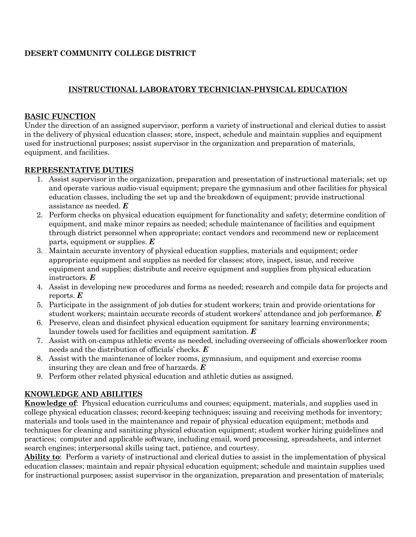## **DESERT COMMUNITY COLLEGE DISTRICT**

# **INSTRUCTIONAL LABORATORY TECHNICIAN-PHYSICAL EDUCATION**

#### **BASIC FUNCTION**

Under the direction of an assigned supervisor, perform a variety of instructional and clerical duties to assist in the delivery of physical education classes; store, inspect, schedule and maintain supplies and equipment used for instructional purposes; assist supervisor in the organization and preparation of materials, equipment, and facilities.

#### **REPRESENTATIVE DUTIES**

- 1. Assist supervisor in the organization, preparation and presentation of instructional materials; set up and operate various audio-visual equipment; prepare the gymnasium and other facilities for physical education classes, including the set up and the breakdown of equipment; provide instructional assistance as needed. *E*
- 2. Perform checks on physical education equipment for functionality and safety; determine condition of equipment, and make minor repairs as needed; schedule maintenance of facilities and equipment through district personnel when appropriate; contact vendors and recommend new or replacement parts, equipment or supplies. *E*
- 3. Maintain accurate inventory of physical education supplies, materials and equipment; order appropriate equipment and supplies as needed for classes; store, inspect, issue, and receive equipment and supplies; distribute and receive equipment and supplies from physical education instructors. *E*
- 4. Assist in developing new procedures and forms as needed; research and compile data for projects and reports. *E*
- 5. Participate in the assignment of job duties for student workers; train and provide orientations for student workers; maintain accurate records of student workers' attendance and job performance. *E*
- 6. Preserve, clean and disinfect physical education equipment for sanitary learning environments; launder towels used for facilities and equipment sanitation. *E*
- 7. Assist with on-campus athletic events as needed, including overseeing of officials shower/locker room needs and the distribution of officials' checks. *E*
- 8. Assist with the maintenance of locker rooms, gymnasium, and equipment and exercise rooms insuring they are clean and free of harzards. *E*
- 9. Perform other related physical education and athletic duties as assigned.

# **KNOWLEDGE AND ABILITIES**

**Knowledge of**: Physical education curriculums and courses; equipment, materials, and supplies used in college physical education classes; record-keeping techniques; issuing and receiving methods for inventory; materials and tools used in the maintenance and repair of physical education equipment; methods and techniques for cleaning and sanitizing physical education equipment; student worker hiring guidelines and practices; computer and applicable software, including email, word processing, spreadsheets, and internet search engines; interpersonal skills using tact, patience, and courtesy.

**Ability to**: Perform a variety of instructional and clerical duties to assist in the implementation of physical education classes; maintain and repair physical education equipment; schedule and maintain supplies used for instructional purposes; assist supervisor in the organization, preparation and presentation of materials;